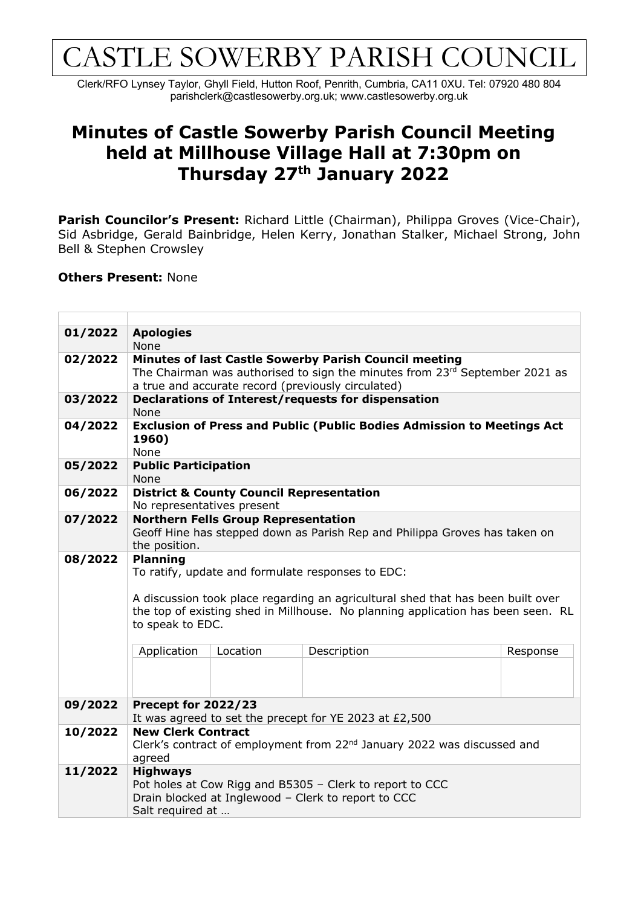## CASTLE SOWERBY PARISH COUNCIL

Clerk/RFO Lynsey Taylor, Ghyll Field, Hutton Roof, Penrith, Cumbria, CA11 0XU. Tel: 07920 480 804 parishclerk@castlesowerby.org.uk; www.castlesowerby.org.uk

## **Minutes of Castle Sowerby Parish Council Meeting held at Millhouse Village Hall at 7:30pm on Thursday 27th January 2022**

Parish Councilor's Present: Richard Little (Chairman), Philippa Groves (Vice-Chair), Sid Asbridge, Gerald Bainbridge, Helen Kerry, Jonathan Stalker, Michael Strong, John Bell & Stephen Crowsley

## **Others Present:** None

| 01/2022 | <b>Apologies</b>                                                                                     |          |             |          |  |  |  |
|---------|------------------------------------------------------------------------------------------------------|----------|-------------|----------|--|--|--|
|         | None                                                                                                 |          |             |          |  |  |  |
| 02/2022 | Minutes of last Castle Sowerby Parish Council meeting                                                |          |             |          |  |  |  |
|         | The Chairman was authorised to sign the minutes from 23rd September 2021 as                          |          |             |          |  |  |  |
|         | a true and accurate record (previously circulated)                                                   |          |             |          |  |  |  |
| 03/2022 | Declarations of Interest/requests for dispensation                                                   |          |             |          |  |  |  |
|         | None                                                                                                 |          |             |          |  |  |  |
| 04/2022 | <b>Exclusion of Press and Public (Public Bodies Admission to Meetings Act</b>                        |          |             |          |  |  |  |
|         | 1960)                                                                                                |          |             |          |  |  |  |
|         | None                                                                                                 |          |             |          |  |  |  |
| 05/2022 | <b>Public Participation</b>                                                                          |          |             |          |  |  |  |
|         | None                                                                                                 |          |             |          |  |  |  |
| 06/2022 | <b>District &amp; County Council Representation</b><br>No representatives present                    |          |             |          |  |  |  |
| 07/2022 | <b>Northern Fells Group Representation</b>                                                           |          |             |          |  |  |  |
|         | Geoff Hine has stepped down as Parish Rep and Philippa Groves has taken on<br>the position.          |          |             |          |  |  |  |
|         |                                                                                                      |          |             |          |  |  |  |
| 08/2022 | <b>Planning</b>                                                                                      |          |             |          |  |  |  |
|         | To ratify, update and formulate responses to EDC:                                                    |          |             |          |  |  |  |
|         |                                                                                                      |          |             |          |  |  |  |
|         | A discussion took place regarding an agricultural shed that has been built over                      |          |             |          |  |  |  |
|         | the top of existing shed in Millhouse. No planning application has been seen. RL<br>to speak to EDC. |          |             |          |  |  |  |
|         |                                                                                                      |          |             |          |  |  |  |
|         |                                                                                                      |          |             |          |  |  |  |
|         | Application                                                                                          | Location | Description | Response |  |  |  |
|         |                                                                                                      |          |             |          |  |  |  |
|         |                                                                                                      |          |             |          |  |  |  |
|         |                                                                                                      |          |             |          |  |  |  |
| 09/2022 | Precept for 2022/23                                                                                  |          |             |          |  |  |  |
| 10/2022 | It was agreed to set the precept for YE 2023 at £2,500<br><b>New Clerk Contract</b>                  |          |             |          |  |  |  |
|         |                                                                                                      |          |             |          |  |  |  |
|         | Clerk's contract of employment from 22 <sup>nd</sup> January 2022 was discussed and                  |          |             |          |  |  |  |
| 11/2022 | agreed<br><b>Highways</b>                                                                            |          |             |          |  |  |  |
|         | Pot holes at Cow Rigg and B5305 - Clerk to report to CCC                                             |          |             |          |  |  |  |
|         | Drain blocked at Inglewood - Clerk to report to CCC                                                  |          |             |          |  |  |  |
|         | Salt required at                                                                                     |          |             |          |  |  |  |